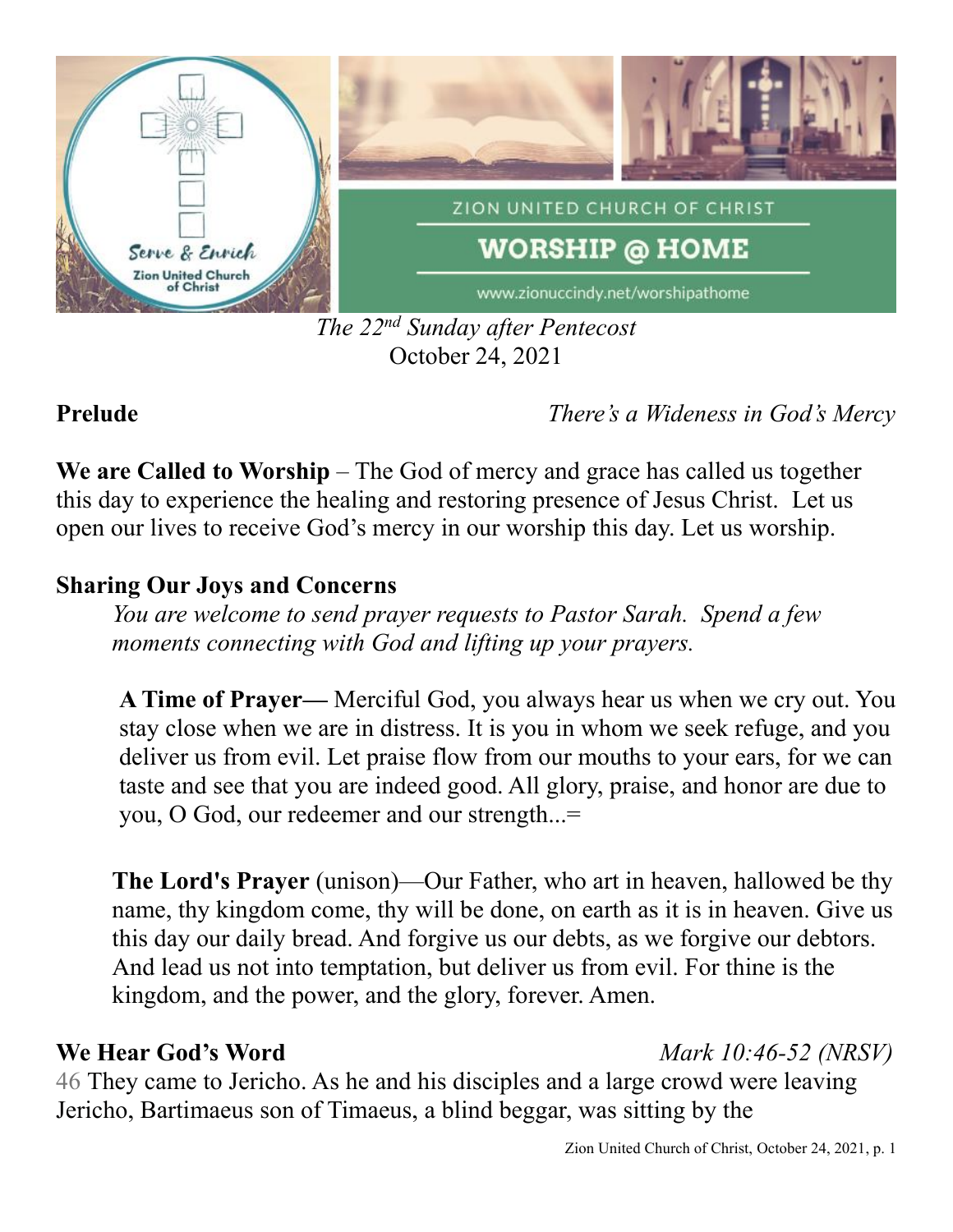

### *The 22 nd Sunday after Pentecost* October 24, 2021

## **Prelude** *There's a Wideness in God's Mercy*

**We are Called to Worship** – The God of mercy and grace has called us together this day to experience the healing and restoring presence of Jesus Christ. Let us open our lives to receive God's mercy in our worship this day. Let us worship.

## **Sharing Our Joys and Concerns**

*You are welcome to send prayer requests to Pastor Sarah. Spend a few moments connecting with God and lifting up your prayers.*

**A Time of Prayer—** Merciful God, you always hear us when we cry out. You stay close when we are in distress. It is you in whom we seek refuge, and you deliver us from evil. Let praise flow from our mouths to your ears, for we can taste and see that you are indeed good. All glory, praise, and honor are due to you, O God, our redeemer and our strength...=

**The Lord's Prayer** (unison)—Our Father, who art in heaven, hallowed be thy name, thy kingdom come, thy will be done, on earth as it is in heaven. Give us this day our daily bread. And forgive us our debts, as we forgive our debtors. And lead us not into temptation, but deliver us from evil. For thine is the kingdom, and the power, and the glory, forever. Amen.

# **We Hear God's Word** *Mark 10:46-52 (NRSV)*

46 They came to Jericho. As he and his disciples and a large crowd were leaving Jericho, Bartimaeus son of Timaeus, a blind beggar, was sitting by the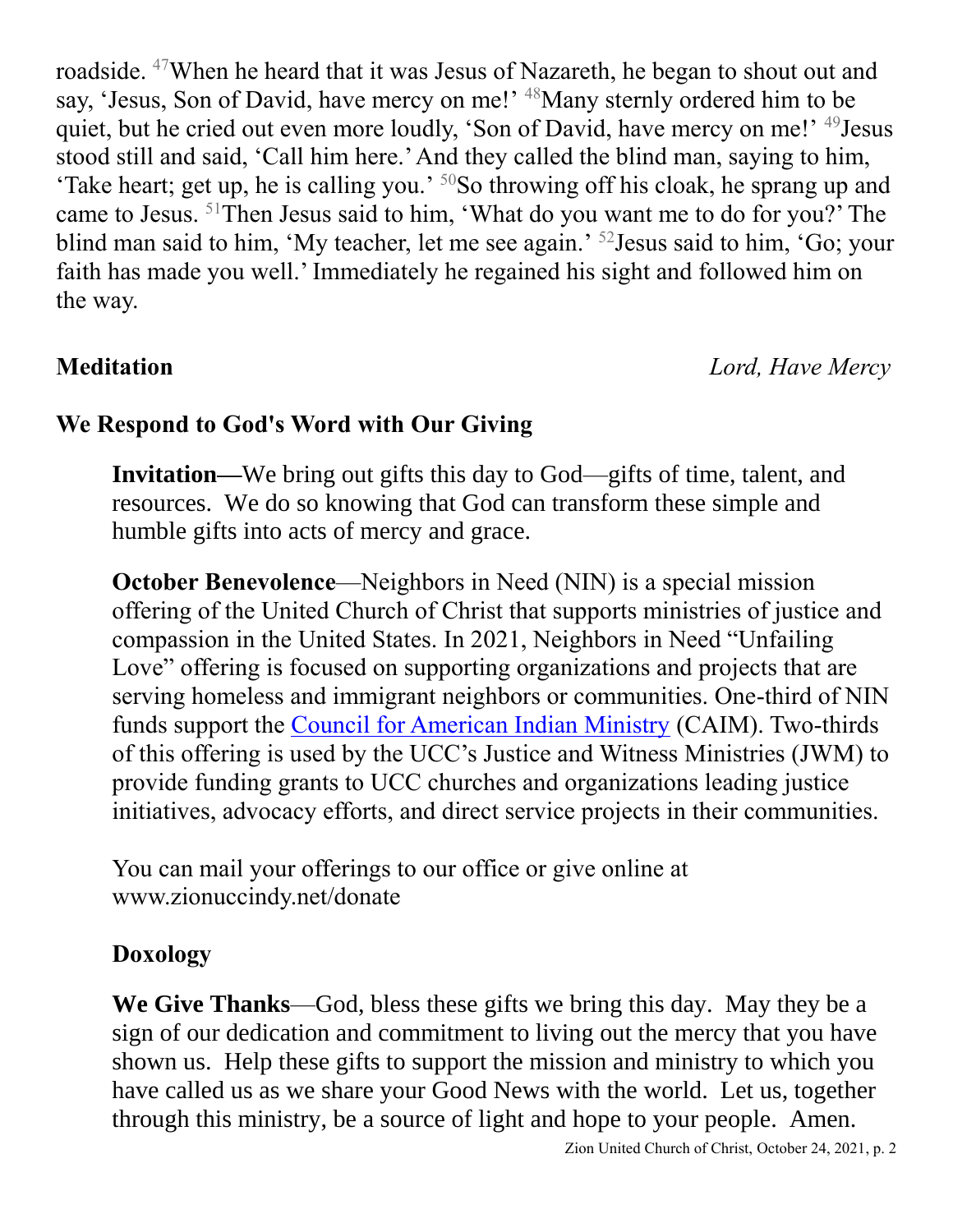roadside. <sup>47</sup>When he heard that it was Jesus of Nazareth, he began to shout out and say, 'Jesus, Son of David, have mercy on me!' <sup>48</sup>Many sternly ordered him to be quiet, but he cried out even more loudly, 'Son of David, have mercy on me!' <sup>49</sup>Jesus stood still and said, 'Call him here.' And they called the blind man, saying to him, 'Take heart; get up, he is calling you.' <sup>50</sup>So throwing off his cloak, he sprang up and came to Jesus. <sup>51</sup>Then Jesus said to him, 'What do you want me to do for you?' The blind man said to him, 'My teacher, let me see again.' <sup>52</sup>Jesus said to him, 'Go; your faith has made you well.' Immediately he regained his sight and followed him on the way.

**Meditation** *Lord, Have Mercy*

## **We Respond to God's Word with Our Giving**

**Invitation—**We bring out gifts this day to God—gifts of time, talent, and resources. We do so knowing that God can transform these simple and humble gifts into acts of mercy and grace.

**October Benevolence—Neighbors in Need (NIN) is a special mission** offering of the United Church of Christ that supports ministries of justice and compassion in the United States. In 2021, Neighbors in Need "Unfailing Love" offering is focused on supporting organizations and projects that are serving homeless and immigrant neighbors or communities. One-third of NIN funds support the [Council for American Indian Ministry](http://www.ucc.org/faq_what_is_caim) (CAIM). Two-thirds of this offering is used by the UCC's Justice and Witness Ministries (JWM) to provide funding grants to UCC churches and organizations leading justice initiatives, advocacy efforts, and direct service projects in their communities.

You can mail your offerings to our office or give online at www.zionuccindy.net/donate

### **Doxology**

**We Give Thanks**—God, bless these gifts we bring this day. May they be a sign of our dedication and commitment to living out the mercy that you have shown us. Help these gifts to support the mission and ministry to which you have called us as we share your Good News with the world. Let us, together through this ministry, be a source of light and hope to your people. Amen.